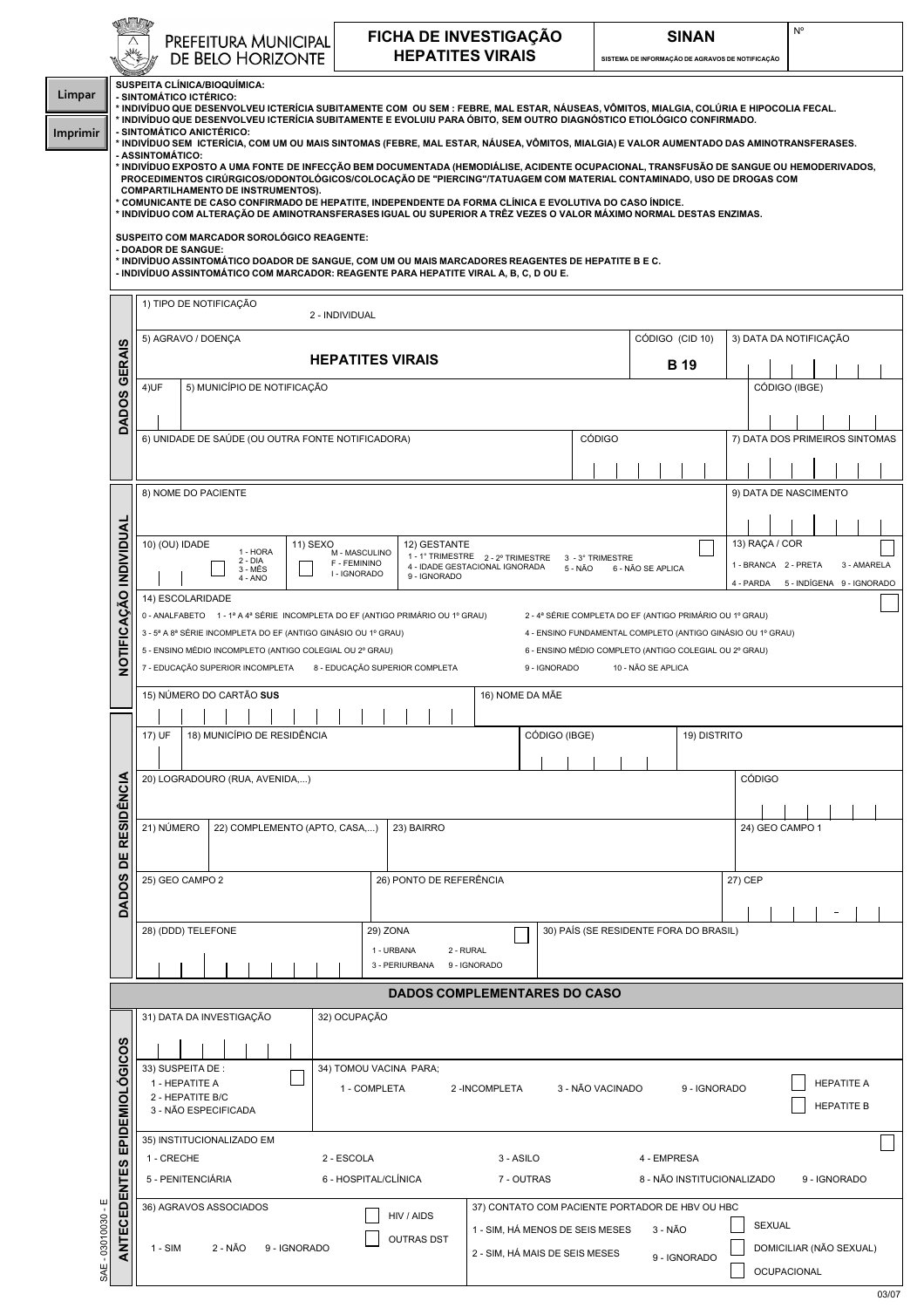|                              | PREFEITURA MUNICIPAL<br>DE BELO HORIZONTE                                                                                                                                                                                                                                                                                                                                                                                                                                                                                                                                                                                                                                                                                                                                                                                                                                                                                                                                                                                                                                                                                                     |                                                    |  |                                     |  |  |  | FICHA DE INVESTIGAÇÃO<br><b>HEPATITES VIRAIS</b>                                                     |                                                                                                                    |                |  |              |                                                                      |                                     |             |                                                                                    | SINAN<br>SISTEMA DE INFORMAÇÃO DE AGRAVOS DE NOTIFICAÇÃO |                |  |  |              |               |         |                      | $N^{\circ}$ |                       |  |                                |
|------------------------------|-----------------------------------------------------------------------------------------------------------------------------------------------------------------------------------------------------------------------------------------------------------------------------------------------------------------------------------------------------------------------------------------------------------------------------------------------------------------------------------------------------------------------------------------------------------------------------------------------------------------------------------------------------------------------------------------------------------------------------------------------------------------------------------------------------------------------------------------------------------------------------------------------------------------------------------------------------------------------------------------------------------------------------------------------------------------------------------------------------------------------------------------------|----------------------------------------------------|--|-------------------------------------|--|--|--|------------------------------------------------------------------------------------------------------|--------------------------------------------------------------------------------------------------------------------|----------------|--|--------------|----------------------------------------------------------------------|-------------------------------------|-------------|------------------------------------------------------------------------------------|----------------------------------------------------------|----------------|--|--|--------------|---------------|---------|----------------------|-------------|-----------------------|--|--------------------------------|
|                              | SUSPEITA CLÍNICA/BIOQUÍMICA:<br>- SINTOMÁTICO ICTÉRICO:<br>* INDIVÍDUO QUE DESENVOLVEU ICTERÍCIA SUBITAMENTE COM  OU SEM : FEBRE, MAL ESTAR, NÁUSEAS, VÔMITOS, MIALGIA, COLÚRIA E HIPOCOLIA FECAL.<br>* INDIVÍDUO QUE DESENVOLVEU ICTERÍCIA SUBITAMENTE E EVOLUIU PARA ÓBITO, SEM OUTRO DIAGNÓSTICO ETIOLÓGICO CONFIRMADO.<br>- SINTOMÁTICO ANICTÉRICO:<br>' INDIVÍDUO SEM  ICTERÍCIA, COM UM OU MAIS SINTOMAS (FEBRE, MAL ESTAR, NÁUSEA, VÔMITOS, MIALGIA) E VALOR AUMENTADO DAS AMINOTRANSFERASES.<br>- ASSINTOMÁTICO:<br>* INDIVÍDUO EXPOSTO A UMA FONTE DE INFECÇÃO BEM DOCUMENTADA (HEMODIÁLISE, ACIDENTE OCUPACIONAL, TRANSFUSÃO DE SANGUE OU HEMODERIVADOS,<br>PROCEDIMENTOS CIRÚRGICOS/ODONTOLÓGICOS/COLOCAÇÃO DE "PIERCING"/TATUAGEM COM MATERIAL CONTAMINADO, USO DE DROGAS COM<br><b>COMPARTILHAMENTO DE INSTRUMENTOS).</b><br>* COMUNICANTE DE CASO CONFIRMADO DE HEPATITE, INDEPENDENTE DA FORMA CLÍNICA E EVOLUTIVA DO CASO ÍNDICE.<br>* INDIVÍDUO COM ALTERAÇÃO DE AMINOTRANSFERASES IGUAL OU SUPERIOR A TRÊZ VEZES O VALOR MÁXIMO NORMAL DESTAS ENZIMAS.<br>SUSPEITO COM MARCADOR SOROLÓGICO REAGENTE:<br>- DOADOR DE SANGUE: |                                                    |  |                                     |  |  |  |                                                                                                      |                                                                                                                    |                |  |              |                                                                      |                                     |             |                                                                                    |                                                          |                |  |  |              |               |         |                      |             |                       |  |                                |
|                              | <u>NDIVÍDUO ASSINTOMÁTICO DOADOR DE SANGUE, COM UM OU MAIS MARCADORES REAGENTES DE HEPATITE B E C.</u> *<br>- INDIVÍDUO ASSINTOMÁTICO COM MARCADOR: REAGENTE PARA HEPATITE VIRAL A, B, C, D OU E.<br>1) TIPO DE NOTIFICAÇÃO                                                                                                                                                                                                                                                                                                                                                                                                                                                                                                                                                                                                                                                                                                                                                                                                                                                                                                                   |                                                    |  |                                     |  |  |  |                                                                                                      |                                                                                                                    |                |  |              |                                                                      |                                     |             |                                                                                    |                                                          |                |  |  |              |               |         |                      |             |                       |  |                                |
|                              | 2 - INDIVIDUAL<br>5) AGRAVO / DOENÇA<br>CÓDIGO (CID 10)                                                                                                                                                                                                                                                                                                                                                                                                                                                                                                                                                                                                                                                                                                                                                                                                                                                                                                                                                                                                                                                                                       |                                                    |  |                                     |  |  |  |                                                                                                      |                                                                                                                    |                |  |              |                                                                      |                                     |             |                                                                                    | 3) DATA DA NOTIFICAÇÃO                                   |                |  |  |              |               |         |                      |             |                       |  |                                |
|                              | <b>HEPATITES VIRAIS</b>                                                                                                                                                                                                                                                                                                                                                                                                                                                                                                                                                                                                                                                                                                                                                                                                                                                                                                                                                                                                                                                                                                                       |                                                    |  |                                     |  |  |  |                                                                                                      |                                                                                                                    |                |  |              |                                                                      |                                     | <b>B</b> 19 |                                                                                    |                                                          |                |  |  |              |               |         |                      |             |                       |  |                                |
| DADOS GERAIS                 | 4)UF                                                                                                                                                                                                                                                                                                                                                                                                                                                                                                                                                                                                                                                                                                                                                                                                                                                                                                                                                                                                                                                                                                                                          |                                                    |  | 5) MUNICÍPIO DE NOTIFICAÇÃO         |  |  |  |                                                                                                      |                                                                                                                    |                |  |              |                                                                      |                                     |             |                                                                                    |                                                          |                |  |  |              |               |         | CÓDIGO (IBGE)        |             |                       |  |                                |
|                              | 6) UNIDADE DE SAÚDE (OU OUTRA FONTE NOTIFICADORA)                                                                                                                                                                                                                                                                                                                                                                                                                                                                                                                                                                                                                                                                                                                                                                                                                                                                                                                                                                                                                                                                                             |                                                    |  |                                     |  |  |  |                                                                                                      |                                                                                                                    |                |  |              |                                                                      |                                     |             | <b>CÓDIGO</b>                                                                      |                                                          |                |  |  |              |               |         |                      |             |                       |  | 7) DATA DOS PRIMEIROS SINTOMAS |
|                              |                                                                                                                                                                                                                                                                                                                                                                                                                                                                                                                                                                                                                                                                                                                                                                                                                                                                                                                                                                                                                                                                                                                                               |                                                    |  |                                     |  |  |  |                                                                                                      |                                                                                                                    |                |  |              |                                                                      |                                     |             |                                                                                    |                                                          |                |  |  |              |               |         |                      |             |                       |  |                                |
|                              | 8) NOME DO PACIENTE                                                                                                                                                                                                                                                                                                                                                                                                                                                                                                                                                                                                                                                                                                                                                                                                                                                                                                                                                                                                                                                                                                                           |                                                    |  |                                     |  |  |  |                                                                                                      |                                                                                                                    |                |  |              |                                                                      |                                     |             |                                                                                    |                                                          |                |  |  |              |               |         |                      |             | 9) DATA DE NASCIMENTO |  |                                |
|                              |                                                                                                                                                                                                                                                                                                                                                                                                                                                                                                                                                                                                                                                                                                                                                                                                                                                                                                                                                                                                                                                                                                                                               |                                                    |  |                                     |  |  |  |                                                                                                      |                                                                                                                    |                |  |              |                                                                      |                                     |             |                                                                                    |                                                          |                |  |  |              |               |         |                      |             |                       |  |                                |
|                              | 10) (OU) IDADE                                                                                                                                                                                                                                                                                                                                                                                                                                                                                                                                                                                                                                                                                                                                                                                                                                                                                                                                                                                                                                                                                                                                | M - MASCULINO                                      |  | 12) GESTANTE                        |  |  |  |                                                                                                      |                                                                                                                    |                |  |              |                                                                      |                                     |             |                                                                                    |                                                          | 13) RAÇA / COR |  |  |              |               |         |                      |             |                       |  |                                |
|                              |                                                                                                                                                                                                                                                                                                                                                                                                                                                                                                                                                                                                                                                                                                                                                                                                                                                                                                                                                                                                                                                                                                                                               |                                                    |  | $2 - DIA$<br>$3 - MÉS$<br>$4 - ANO$ |  |  |  | F - FEMININO<br>I - IGNORADO                                                                         | 1 - 1° TRIMESTRE 2 - 2° TRIMESTRE<br>3 - 3° TRIMESTRE<br>4 - IDADE GESTACIONAL IGNORADA<br>5 - NÃO<br>9 - IGNORADO |                |  |              |                                                                      |                                     |             |                                                                                    | 6 - NÃO SE APLICA                                        |                |  |  |              |               |         | 1 - BRANCA 2 - PRETA |             |                       |  | 3 - AMARELA                    |
|                              | 4 - PARDA<br>5 - INDÍGENA 9 - IGNORADO<br>14) ESCOLARIDADE                                                                                                                                                                                                                                                                                                                                                                                                                                                                                                                                                                                                                                                                                                                                                                                                                                                                                                                                                                                                                                                                                    |                                                    |  |                                     |  |  |  |                                                                                                      |                                                                                                                    |                |  |              |                                                                      |                                     |             |                                                                                    |                                                          |                |  |  |              |               |         |                      |             |                       |  |                                |
|                              | 0 - ANALFABETO 1 - 1ª A 4ª SÉRIE INCOMPLETA DO EF (ANTIGO PRIMÁRIO OU 1º GRAU)<br>2 - 4ª SÉRIE COMPLETA DO EF (ANTIGO PRIMÁRIO OU 1º GRAU)<br>3 - 5ª A 8ª SÉRIE INCOMPLETA DO EF (ANTIGO GINÁSIO OU 1º GRAU)<br>4 - ENSINO FUNDAMENTAL COMPLETO (ANTIGO GINÁSIO OU 1º GRAU)                                                                                                                                                                                                                                                                                                                                                                                                                                                                                                                                                                                                                                                                                                                                                                                                                                                                   |                                                    |  |                                     |  |  |  |                                                                                                      |                                                                                                                    |                |  |              |                                                                      |                                     |             |                                                                                    |                                                          |                |  |  |              |               |         |                      |             |                       |  |                                |
| NOTIFICAÇÃO INDIVIDUAL       | 5 - ENSINO MÉDIO INCOMPLETO (ANTIGO COLEGIAL OU 2º GRAU)<br>6 - ENSINO MÉDIO COMPLETO (ANTIGO COLEGIAL OU 2º GRAU)                                                                                                                                                                                                                                                                                                                                                                                                                                                                                                                                                                                                                                                                                                                                                                                                                                                                                                                                                                                                                            |                                                    |  |                                     |  |  |  |                                                                                                      |                                                                                                                    |                |  |              |                                                                      |                                     |             |                                                                                    |                                                          |                |  |  |              |               |         |                      |             |                       |  |                                |
|                              | 7 - EDUCAÇÃO SUPERIOR INCOMPLETA<br>8 - EDUCAÇÃO SUPERIOR COMPLETA<br>9 - IGNORADO<br>10 - NÃO SE APLICA<br>15) NÚMERO DO CARTÃO SUS<br>16) NOME DA MÃE                                                                                                                                                                                                                                                                                                                                                                                                                                                                                                                                                                                                                                                                                                                                                                                                                                                                                                                                                                                       |                                                    |  |                                     |  |  |  |                                                                                                      |                                                                                                                    |                |  |              |                                                                      |                                     |             |                                                                                    |                                                          |                |  |  |              |               |         |                      |             |                       |  |                                |
|                              |                                                                                                                                                                                                                                                                                                                                                                                                                                                                                                                                                                                                                                                                                                                                                                                                                                                                                                                                                                                                                                                                                                                                               |                                                    |  |                                     |  |  |  |                                                                                                      |                                                                                                                    |                |  |              |                                                                      |                                     |             |                                                                                    |                                                          |                |  |  |              |               |         |                      |             |                       |  |                                |
|                              | 17) UF                                                                                                                                                                                                                                                                                                                                                                                                                                                                                                                                                                                                                                                                                                                                                                                                                                                                                                                                                                                                                                                                                                                                        |                                                    |  | 18) MUNICÍPIO DE RESIDÊNCIA         |  |  |  |                                                                                                      |                                                                                                                    |                |  |              |                                                                      | CÓDIGO (IBGE)                       |             |                                                                                    |                                                          |                |  |  | 19) DISTRITO |               |         |                      |             |                       |  |                                |
|                              | 20) LOGRADOURO (RUA, AVENIDA,)                                                                                                                                                                                                                                                                                                                                                                                                                                                                                                                                                                                                                                                                                                                                                                                                                                                                                                                                                                                                                                                                                                                |                                                    |  |                                     |  |  |  |                                                                                                      |                                                                                                                    |                |  |              |                                                                      |                                     |             |                                                                                    |                                                          |                |  |  |              | <b>CÓDIGO</b> |         |                      |             |                       |  |                                |
|                              |                                                                                                                                                                                                                                                                                                                                                                                                                                                                                                                                                                                                                                                                                                                                                                                                                                                                                                                                                                                                                                                                                                                                               |                                                    |  |                                     |  |  |  |                                                                                                      |                                                                                                                    |                |  |              |                                                                      |                                     |             |                                                                                    |                                                          |                |  |  |              |               |         |                      |             |                       |  |                                |
|                              | 21) NÚMERO<br>22) COMPLEMENTO (APTO, CASA,)                                                                                                                                                                                                                                                                                                                                                                                                                                                                                                                                                                                                                                                                                                                                                                                                                                                                                                                                                                                                                                                                                                   |                                                    |  |                                     |  |  |  | 23) BAIRRO                                                                                           |                                                                                                                    |                |  |              |                                                                      |                                     |             |                                                                                    |                                                          |                |  |  |              |               |         | 24) GEO CAMPO 1      |             |                       |  |                                |
| DADOS DE RESIDÊNCIA          |                                                                                                                                                                                                                                                                                                                                                                                                                                                                                                                                                                                                                                                                                                                                                                                                                                                                                                                                                                                                                                                                                                                                               |                                                    |  |                                     |  |  |  |                                                                                                      |                                                                                                                    |                |  |              |                                                                      |                                     |             |                                                                                    |                                                          |                |  |  |              |               |         |                      |             |                       |  |                                |
|                              | 25) GEO CAMPO 2                                                                                                                                                                                                                                                                                                                                                                                                                                                                                                                                                                                                                                                                                                                                                                                                                                                                                                                                                                                                                                                                                                                               |                                                    |  |                                     |  |  |  |                                                                                                      | 26) PONTO DE REFERÊNCIA                                                                                            |                |  |              |                                                                      |                                     |             |                                                                                    |                                                          |                |  |  |              |               | 27) CEP |                      |             |                       |  |                                |
|                              |                                                                                                                                                                                                                                                                                                                                                                                                                                                                                                                                                                                                                                                                                                                                                                                                                                                                                                                                                                                                                                                                                                                                               | 29) ZONA<br>30) PAÍS (SE RESIDENTE FORA DO BRASIL) |  |                                     |  |  |  |                                                                                                      |                                                                                                                    |                |  |              |                                                                      |                                     |             |                                                                                    |                                                          |                |  |  |              |               |         |                      |             |                       |  |                                |
|                              | 28) (DDD) TELEFONE                                                                                                                                                                                                                                                                                                                                                                                                                                                                                                                                                                                                                                                                                                                                                                                                                                                                                                                                                                                                                                                                                                                            |                                                    |  |                                     |  |  |  |                                                                                                      | 1 - URBANA<br>2 - RURAL                                                                                            |                |  |              |                                                                      |                                     |             |                                                                                    |                                                          |                |  |  |              |               |         |                      |             |                       |  |                                |
|                              |                                                                                                                                                                                                                                                                                                                                                                                                                                                                                                                                                                                                                                                                                                                                                                                                                                                                                                                                                                                                                                                                                                                                               |                                                    |  |                                     |  |  |  |                                                                                                      |                                                                                                                    | 3 - PERIURBANA |  | 9 - IGNORADO |                                                                      |                                     |             |                                                                                    |                                                          |                |  |  |              |               |         |                      |             |                       |  |                                |
|                              |                                                                                                                                                                                                                                                                                                                                                                                                                                                                                                                                                                                                                                                                                                                                                                                                                                                                                                                                                                                                                                                                                                                                               |                                                    |  |                                     |  |  |  |                                                                                                      |                                                                                                                    |                |  |              |                                                                      | <b>DADOS COMPLEMENTARES DO CASO</b> |             |                                                                                    |                                                          |                |  |  |              |               |         |                      |             |                       |  |                                |
|                              | 31) DATA DA INVESTIGAÇÃO                                                                                                                                                                                                                                                                                                                                                                                                                                                                                                                                                                                                                                                                                                                                                                                                                                                                                                                                                                                                                                                                                                                      |                                                    |  |                                     |  |  |  | 32) OCUPAÇÃO                                                                                         |                                                                                                                    |                |  |              |                                                                      |                                     |             |                                                                                    |                                                          |                |  |  |              |               |         |                      |             |                       |  |                                |
| ANTECEDENTES EPIDEMIOLÓGICOS | 33) SUSPEITA DE:<br>1 - HEPATITE A<br>2 - HEPATITE B/C<br>3 - NÃO ESPECIFICADA                                                                                                                                                                                                                                                                                                                                                                                                                                                                                                                                                                                                                                                                                                                                                                                                                                                                                                                                                                                                                                                                |                                                    |  |                                     |  |  |  | 34) TOMOU VACINA PARA;<br>3 - NÃO VACINADO<br>1 - COMPLETA<br>2-INCOMPLETA<br>9 - IGNORADO           |                                                                                                                    |                |  |              |                                                                      |                                     |             |                                                                                    | <b>HEPATITE A</b><br><b>HEPATITE B</b>                   |                |  |  |              |               |         |                      |             |                       |  |                                |
|                              | 35) INSTITUCIONALIZADO EM                                                                                                                                                                                                                                                                                                                                                                                                                                                                                                                                                                                                                                                                                                                                                                                                                                                                                                                                                                                                                                                                                                                     |                                                    |  |                                     |  |  |  |                                                                                                      |                                                                                                                    |                |  |              |                                                                      |                                     |             |                                                                                    |                                                          |                |  |  |              |               |         |                      |             |                       |  |                                |
|                              | 1 - CRECHE<br>5 - PENITENCIÁRIA                                                                                                                                                                                                                                                                                                                                                                                                                                                                                                                                                                                                                                                                                                                                                                                                                                                                                                                                                                                                                                                                                                               |                                                    |  |                                     |  |  |  | 2 - ESCOLA<br>6 - HOSPITAL/CLÍNICA                                                                   |                                                                                                                    |                |  |              | 3 - ASILO<br>4 - EMPRESA<br>8 - NÃO INSTITUCIONALIZADO<br>7 - OUTRAS |                                     |             |                                                                                    |                                                          |                |  |  | 9 - IGNORADO |               |         |                      |             |                       |  |                                |
|                              | 36) AGRAVOS ASSOCIADOS                                                                                                                                                                                                                                                                                                                                                                                                                                                                                                                                                                                                                                                                                                                                                                                                                                                                                                                                                                                                                                                                                                                        |                                                    |  |                                     |  |  |  |                                                                                                      |                                                                                                                    |                |  |              |                                                                      |                                     |             |                                                                                    | 37) CONTATO COM PACIENTE PORTADOR DE HBV OU HBC          |                |  |  |              |               |         |                      |             |                       |  |                                |
|                              | $1 - SIM$<br>2 - NÃO<br>9 - IGNORADO                                                                                                                                                                                                                                                                                                                                                                                                                                                                                                                                                                                                                                                                                                                                                                                                                                                                                                                                                                                                                                                                                                          |                                                    |  |                                     |  |  |  | HIV / AIDS<br>1 - SIM, HÁ MENOS DE SEIS MESES<br><b>OUTRAS DST</b><br>2 - SIM, HÁ MAIS DE SEIS MESES |                                                                                                                    |                |  |              |                                                                      |                                     |             | <b>SEXUAL</b><br>3 - NÃO<br>DOMICILIAR (NÃO SEXUAL)<br>9 - IGNORADO<br>OCUPACIONAL |                                                          |                |  |  |              |               |         |                      |             |                       |  |                                |
|                              |                                                                                                                                                                                                                                                                                                                                                                                                                                                                                                                                                                                                                                                                                                                                                                                                                                                                                                                                                                                                                                                                                                                                               |                                                    |  |                                     |  |  |  |                                                                                                      |                                                                                                                    |                |  |              |                                                                      |                                     |             |                                                                                    |                                                          |                |  |  |              |               |         |                      |             |                       |  | 03/07                          |